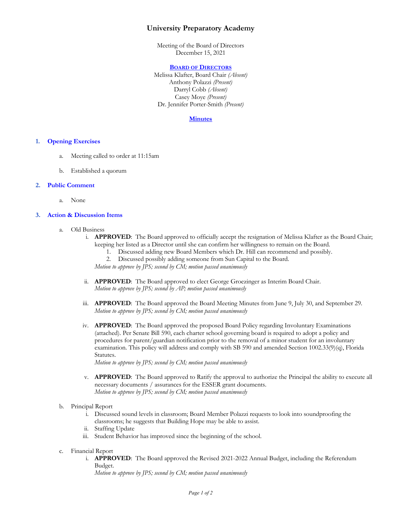# **University Preparatory Academy**

Meeting of the Board of Directors December 15, 2021

#### **BOARD OF DIRECTORS**

Melissa Klafter, Board Chair *(Absent)* Anthony Polazzi *(Present)* Darryl Cobb *(Absent)* Casey Moye *(Present)* Dr. Jennifer Porter-Smith *(Present)*

#### **Minutes**

#### **1. Opening Exercises**

- a. Meeting called to order at 11:15am
- b. Established a quorum

#### **2. Public Comment**

a. None

### **3. Action & Discussion Items**

- a. Old Business
	- i. **APPROVED**: The Board approved to officially accept the resignation of Melissa Klafter as the Board Chair; keeping her listed as a Director until she can confirm her willingness to remain on the Board.
		- 1. Discussed adding new Board Members which Dr. Hill can recommend and possibly.
		- 2. Discussed possibly adding someone from Sun Capital to the Board.
		- *Motion to approve by JPS; second by CM; motion passed unanimously*
	- ii. **APPROVED**: The Board approved to elect George Groezinger as Interim Board Chair. *Motion to approve by JPS; second by AP; motion passed unanimously*
	- iii. **APPROVED**: The Board approved the Board Meeting Minutes from June 9, July 30, and September 29. *Motion to approve by JPS; second by CM; motion passed unanimously*
	- iv. **APPROVED**: The Board approved the proposed Board Policy regarding Involuntary Examinations (attached). Per Senate Bill 590, each charter school governing board is required to adopt a policy and procedures for parent/guardian notification prior to the removal of a minor student for an involuntary examination. This policy will address and comply with SB 590 and amended Section 1002.33(9)(q), Florida Statutes.

*Motion to approve by JPS; second by CM; motion passed unanimously*

- v. **APPROVED**: The Board approved to Ratify the approval to authorize the Principal the ability to execute all necessary documents / assurances for the ESSER grant documents. *Motion to approve by JPS; second by CM; motion passed unanimously*
- b. Principal Report
	- i. Discussed sound levels in classroom; Board Member Polazzi requests to look into soundproofing the classrooms; he suggests that Building Hope may be able to assist.
	- ii. Staffing Update
	- iii. Student Behavior has improved since the beginning of the school.
- c. Financial Report
	- i. **APPROVED**: The Board approved the Revised 2021-2022 Annual Budget, including the Referendum Budget.

*Motion to approve by JPS; second by CM; motion passed unanimously*